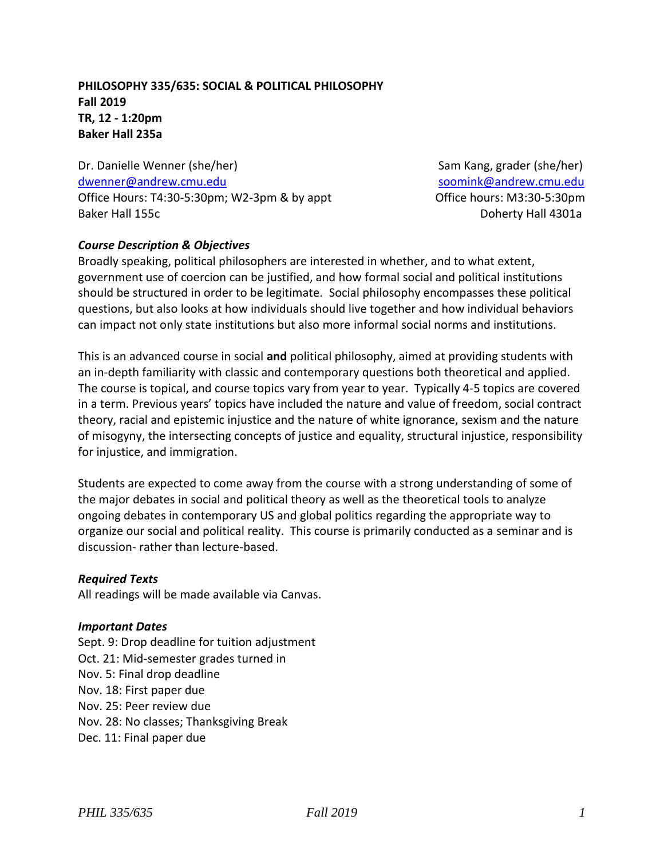# **PHILOSOPHY 335/635: SOCIAL & POLITICAL PHILOSOPHY Fall 2019 TR, 12 - 1:20pm Baker Hall 235a**

Dr. Danielle Wenner (she/her) Sam Kang, grader (she/her) [dwenner@andrew.cmu.edu](mailto:dwenner@andrew.cmu.edu) [soomink@andrew.cmu.edu](mailto:soomink@andrew.cmu.edu) Office Hours: T4:30-5:30pm; W2-3pm & by appt Office hours: M3:30-5:30pm Baker Hall 155c **Doherty Hall 4301a** 

# *Course Description & Objectives*

Broadly speaking, political philosophers are interested in whether, and to what extent, government use of coercion can be justified, and how formal social and political institutions should be structured in order to be legitimate. Social philosophy encompasses these political questions, but also looks at how individuals should live together and how individual behaviors can impact not only state institutions but also more informal social norms and institutions.

This is an advanced course in social **and** political philosophy, aimed at providing students with an in-depth familiarity with classic and contemporary questions both theoretical and applied. The course is topical, and course topics vary from year to year. Typically 4-5 topics are covered in a term. Previous years' topics have included the nature and value of freedom, social contract theory, racial and epistemic injustice and the nature of white ignorance, sexism and the nature of misogyny, the intersecting concepts of justice and equality, structural injustice, responsibility for injustice, and immigration.

Students are expected to come away from the course with a strong understanding of some of the major debates in social and political theory as well as the theoretical tools to analyze ongoing debates in contemporary US and global politics regarding the appropriate way to organize our social and political reality. This course is primarily conducted as a seminar and is discussion- rather than lecture-based.

#### *Required Texts*

All readings will be made available via Canvas.

#### *Important Dates*

Sept. 9: Drop deadline for tuition adjustment Oct. 21: Mid-semester grades turned in Nov. 5: Final drop deadline Nov. 18: First paper due Nov. 25: Peer review due Nov. 28: No classes; Thanksgiving Break Dec. 11: Final paper due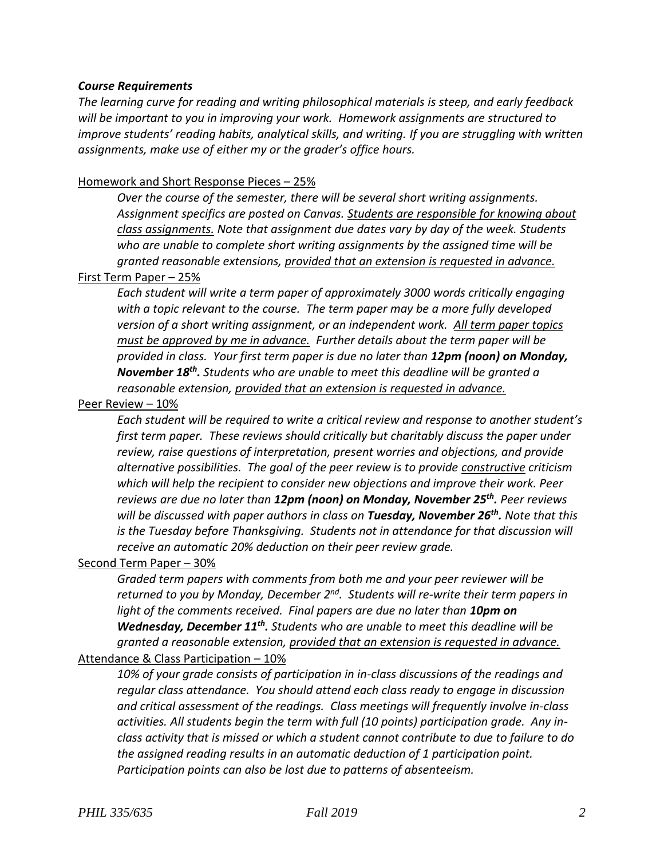#### *Course Requirements*

*The learning curve for reading and writing philosophical materials is steep, and early feedback will be important to you in improving your work. Homework assignments are structured to improve students' reading habits, analytical skills, and writing. If you are struggling with written assignments, make use of either my or the grader's office hours.*

## Homework and Short Response Pieces – 25%

*Over the course of the semester, there will be several short writing assignments. Assignment specifics are posted on Canvas. Students are responsible for knowing about class assignments. Note that assignment due dates vary by day of the week. Students who are unable to complete short writing assignments by the assigned time will be granted reasonable extensions, provided that an extension is requested in advance.*

#### First Term Paper – 25%

*Each student will write a term paper of approximately 3000 words critically engaging with a topic relevant to the course. The term paper may be a more fully developed version of a short writing assignment, or an independent work. All term paper topics must be approved by me in advance. Further details about the term paper will be provided in class. Your first term paper is due no later than 12pm (noon) on Monday, November 18 th . Students who are unable to meet this deadline will be granted a reasonable extension, provided that an extension is requested in advance.*

#### Peer Review – 10%

*Each student will be required to write a critical review and response to another student's first term paper. These reviews should critically but charitably discuss the paper under review, raise questions of interpretation, present worries and objections, and provide alternative possibilities. The goal of the peer review is to provide constructive criticism which will help the recipient to consider new objections and improve their work. Peer reviews are due no later than 12pm (noon) on Monday, November 25 th . Peer reviews will be discussed with paper authors in class on Tuesday, November 26th . Note that this is the Tuesday before Thanksgiving. Students not in attendance for that discussion will receive an automatic 20% deduction on their peer review grade.*

## Second Term Paper – 30%

*Graded term papers with comments from both me and your peer reviewer will be*  returned to you by Monday, December 2<sup>nd</sup>. Students will re-write their term papers in light of the comments received. Final papers are due no later than **10pm on** Wednesday, December 11<sup>th</sup>. Students who are unable to meet this deadline will be *granted a reasonable extension, provided that an extension is requested in advance.*

Attendance & Class Participation – 10%

*10% of your grade consists of participation in in-class discussions of the readings and regular class attendance. You should attend each class ready to engage in discussion and critical assessment of the readings. Class meetings will frequently involve in-class activities. All students begin the term with full (10 points) participation grade. Any inclass activity that is missed or which a student cannot contribute to due to failure to do the assigned reading results in an automatic deduction of 1 participation point. Participation points can also be lost due to patterns of absenteeism.*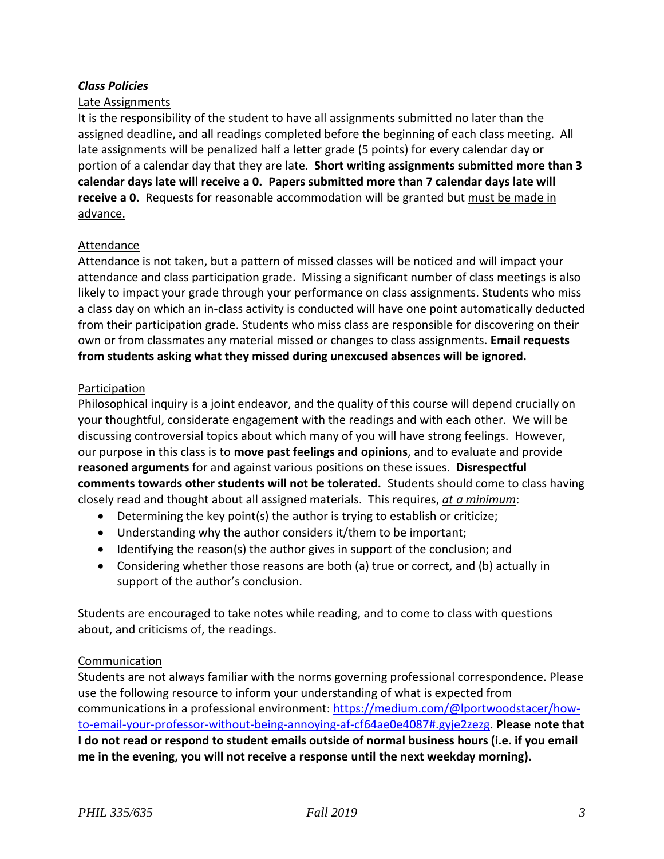# *Class Policies*

## Late Assignments

It is the responsibility of the student to have all assignments submitted no later than the assigned deadline, and all readings completed before the beginning of each class meeting. All late assignments will be penalized half a letter grade (5 points) for every calendar day or portion of a calendar day that they are late. **Short writing assignments submitted more than 3 calendar days late will receive a 0. Papers submitted more than 7 calendar days late will receive a 0.** Requests for reasonable accommodation will be granted but must be made in advance.

## Attendance

Attendance is not taken, but a pattern of missed classes will be noticed and will impact your attendance and class participation grade. Missing a significant number of class meetings is also likely to impact your grade through your performance on class assignments. Students who miss a class day on which an in-class activity is conducted will have one point automatically deducted from their participation grade. Students who miss class are responsible for discovering on their own or from classmates any material missed or changes to class assignments. **Email requests from students asking what they missed during unexcused absences will be ignored.**

#### Participation

Philosophical inquiry is a joint endeavor, and the quality of this course will depend crucially on your thoughtful, considerate engagement with the readings and with each other. We will be discussing controversial topics about which many of you will have strong feelings. However, our purpose in this class is to **move past feelings and opinions**, and to evaluate and provide **reasoned arguments** for and against various positions on these issues. **Disrespectful comments towards other students will not be tolerated.** Students should come to class having closely read and thought about all assigned materials. This requires, *at a minimum*:

- Determining the key point(s) the author is trying to establish or criticize;
- Understanding why the author considers it/them to be important;
- Identifying the reason(s) the author gives in support of the conclusion; and
- Considering whether those reasons are both (a) true or correct, and (b) actually in support of the author's conclusion.

Students are encouraged to take notes while reading, and to come to class with questions about, and criticisms of, the readings.

## Communication

Students are not always familiar with the norms governing professional correspondence. Please use the following resource to inform your understanding of what is expected from communications in a professional environment: [https://medium.com/@lportwoodstacer/how](https://medium.com/@lportwoodstacer/how-to-email-your-professor-without-being-annoying-af-cf64ae0e4087#.gyje2zezg)[to-email-your-professor-without-being-annoying-af-cf64ae0e4087#.gyje2zezg.](https://medium.com/@lportwoodstacer/how-to-email-your-professor-without-being-annoying-af-cf64ae0e4087#.gyje2zezg) **Please note that I do not read or respond to student emails outside of normal business hours (i.e. if you email me in the evening, you will not receive a response until the next weekday morning).**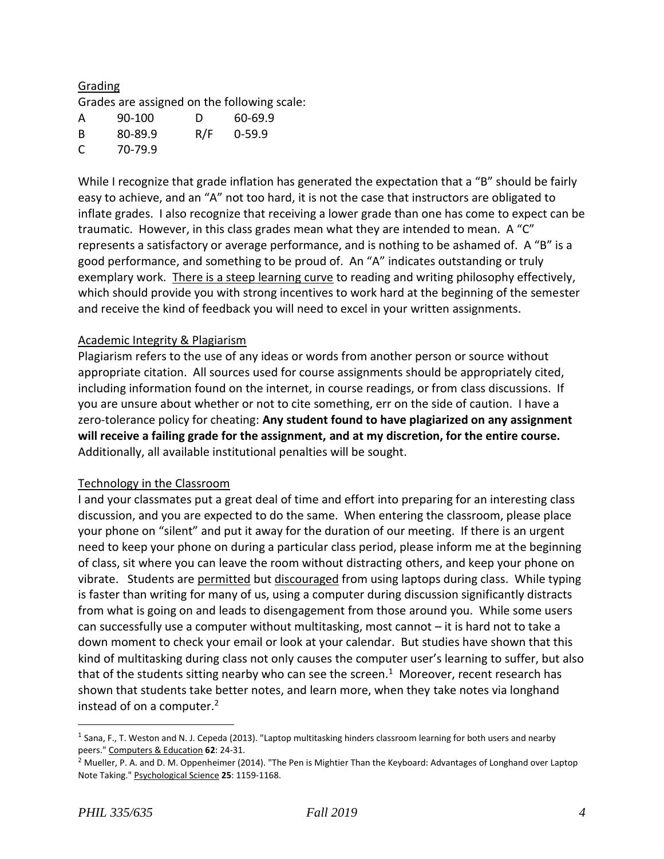# Grading

Grades are assigned on the following scale:

| A | 90-100  | D   | 60-69.9    |
|---|---------|-----|------------|
| B | 80-89.9 | R/F | $0 - 59.9$ |
| C | 70-79.9 |     |            |

While I recognize that grade inflation has generated the expectation that a "B" should be fairly easy to achieve, and an "A" not too hard, it is not the case that instructors are obligated to inflate grades. I also recognize that receiving a lower grade than one has come to expect can be traumatic. However, in this class grades mean what they are intended to mean. A "C" represents a satisfactory or average performance, and is nothing to be ashamed of. A "B" is a good performance, and something to be proud of. An "A" indicates outstanding or truly exemplary work. There is a steep learning curve to reading and writing philosophy effectively, which should provide you with strong incentives to work hard at the beginning of the semester and receive the kind of feedback you will need to excel in your written assignments.

## Academic Integrity & Plagiarism

Plagiarism refers to the use of any ideas or words from another person or source without appropriate citation. All sources used for course assignments should be appropriately cited, including information found on the internet, in course readings, or from class discussions. If you are unsure about whether or not to cite something, err on the side of caution. I have a zero-tolerance policy for cheating: **Any student found to have plagiarized on any assignment will receive a failing grade for the assignment, and at my discretion, for the entire course.** Additionally, all available institutional penalties will be sought.

## Technology in the Classroom

I and your classmates put a great deal of time and effort into preparing for an interesting class discussion, and you are expected to do the same. When entering the classroom, please place your phone on "silent" and put it away for the duration of our meeting. If there is an urgent need to keep your phone on during a particular class period, please inform me at the beginning of class, sit where you can leave the room without distracting others, and keep your phone on vibrate. Students are permitted but discouraged from using laptops during class. While typing is faster than writing for many of us, using a computer during discussion significantly distracts from what is going on and leads to disengagement from those around you. While some users can successfully use a computer without multitasking, most cannot – it is hard not to take a down moment to check your email or look at your calendar. But studies have shown that this kind of multitasking during class not only causes the computer user's learning to suffer, but also that of the students sitting nearby who can see the screen.<sup>1</sup> Moreover, recent research has shown that students take better notes, and learn more, when they take notes via longhand instead of on a computer. 2

 $\overline{a}$ 

<sup>&</sup>lt;sup>1</sup> Sana, F., T. Weston and N. J. Cepeda (2013). "Laptop multitasking hinders classroom learning for both users and nearby peers." Computers & Education **62**: 24-31.

 $<sup>2</sup>$  Mueller, P. A. and D. M. Oppenheimer (2014). "The Pen is Mightier Than the Keyboard: Advantages of Longhand over Laptop</sup> Note Taking." Psychological Science **25**: 1159-1168.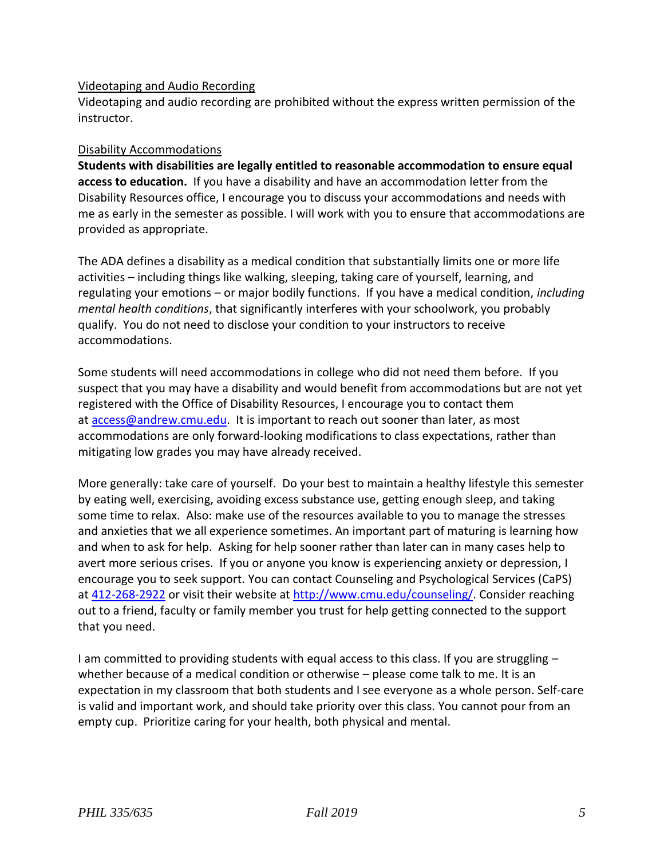## Videotaping and Audio Recording

Videotaping and audio recording are prohibited without the express written permission of the instructor.

#### Disability Accommodations

**Students with disabilities are legally entitled to reasonable accommodation to ensure equal access to education.** If you have a disability and have an accommodation letter from the Disability Resources office, I encourage you to discuss your accommodations and needs with me as early in the semester as possible. I will work with you to ensure that accommodations are provided as appropriate.

The ADA defines a disability as a medical condition that substantially limits one or more life activities – including things like walking, sleeping, taking care of yourself, learning, and regulating your emotions – or major bodily functions. If you have a medical condition, *including mental health conditions*, that significantly interferes with your schoolwork, you probably qualify. You do not need to disclose your condition to your instructors to receive accommodations.

Some students will need accommodations in college who did not need them before. If you suspect that you may have a disability and would benefit from accommodations but are not yet registered with the Office of Disability Resources, I encourage you to contact them at [access@andrew.cmu.edu.](mailto:access@andrew.cmu.edu) It is important to reach out sooner than later, as most accommodations are only forward-looking modifications to class expectations, rather than mitigating low grades you may have already received.

More generally: take care of yourself. Do your best to maintain a healthy lifestyle this semester by eating well, exercising, avoiding excess substance use, getting enough sleep, and taking some time to relax. Also: make use of the resources available to you to manage the stresses and anxieties that we all experience sometimes. An important part of maturing is learning how and when to ask for help. Asking for help sooner rather than later can in many cases help to avert more serious crises. If you or anyone you know is experiencing anxiety or depression, I encourage you to seek support. You can contact Counseling and Psychological Services (CaPS) at [412-268-2922](tel:(412)%20268-2922) or visit their website at [http://www.cmu.edu/counseling/.](http://www.cmu.edu/counseling/) Consider reaching out to a friend, faculty or family member you trust for help getting connected to the support that you need.

I am committed to providing students with equal access to this class. If you are struggling – whether because of a medical condition or otherwise – please come talk to me. It is an expectation in my classroom that both students and I see everyone as a whole person. Self-care is valid and important work, and should take priority over this class. You cannot pour from an empty cup. Prioritize caring for your health, both physical and mental.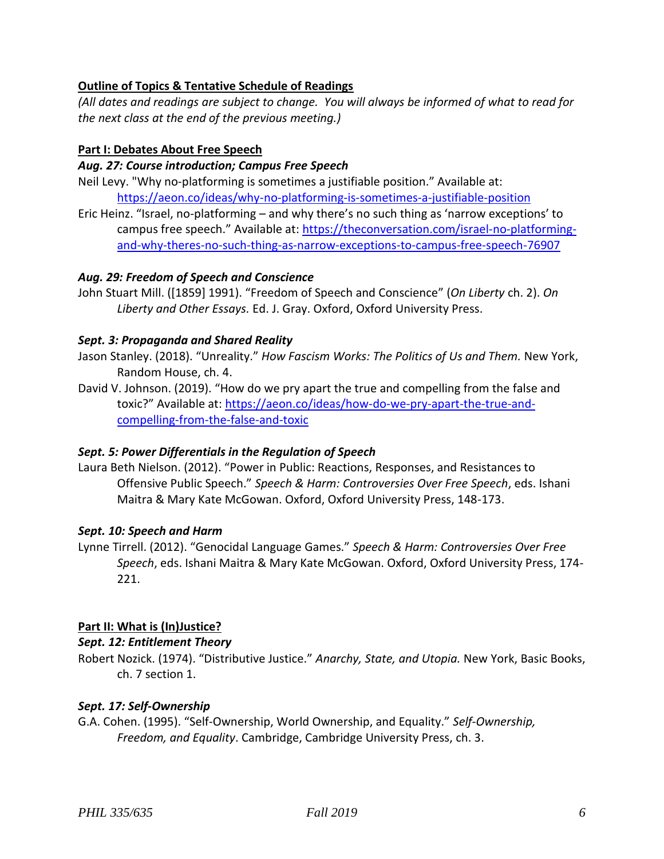# **Outline of Topics & Tentative Schedule of Readings**

*(All dates and readings are subject to change. You will always be informed of what to read for the next class at the end of the previous meeting.)*

## **Part I: Debates About Free Speech**

## *Aug. 27: Course introduction; Campus Free Speech*

- Neil Levy. "Why no-platforming is sometimes a justifiable position." Available at: <https://aeon.co/ideas/why-no-platforming-is-sometimes-a-justifiable-position>
- Eric Heinz. "Israel, no-platforming and why there's no such thing as 'narrow exceptions' to campus free speech." Available at: [https://theconversation.com/israel-no-platforming](https://theconversation.com/israel-no-platforming-and-why-theres-no-such-thing-as-narrow-exceptions-to-campus-free-speech-76907)[and-why-theres-no-such-thing-as-narrow-exceptions-to-campus-free-speech-76907](https://theconversation.com/israel-no-platforming-and-why-theres-no-such-thing-as-narrow-exceptions-to-campus-free-speech-76907)

# *Aug. 29: Freedom of Speech and Conscience*

John Stuart Mill. ([1859] 1991). "Freedom of Speech and Conscience" (*On Liberty* ch. 2). *On Liberty and Other Essays.* Ed. J. Gray. Oxford, Oxford University Press.

# *Sept. 3: Propaganda and Shared Reality*

- Jason Stanley. (2018). "Unreality." *How Fascism Works: The Politics of Us and Them.* New York, Random House, ch. 4.
- David V. Johnson. (2019). "How do we pry apart the true and compelling from the false and toxic?" Available at: [https://aeon.co/ideas/how-do-we-pry-apart-the-true-and](https://aeon.co/ideas/how-do-we-pry-apart-the-true-and-compelling-from-the-false-and-toxic)[compelling-from-the-false-and-toxic](https://aeon.co/ideas/how-do-we-pry-apart-the-true-and-compelling-from-the-false-and-toxic)

## *Sept. 5: Power Differentials in the Regulation of Speech*

Laura Beth Nielson. (2012). "Power in Public: Reactions, Responses, and Resistances to Offensive Public Speech." *Speech & Harm: Controversies Over Free Speech*, eds. Ishani Maitra & Mary Kate McGowan. Oxford, Oxford University Press, 148-173.

## *Sept. 10: Speech and Harm*

Lynne Tirrell. (2012). "Genocidal Language Games." *Speech & Harm: Controversies Over Free Speech*, eds. Ishani Maitra & Mary Kate McGowan. Oxford, Oxford University Press, 174- 221.

# **Part II: What is (In)Justice?**

## *Sept. 12: Entitlement Theory*

Robert Nozick. (1974). "Distributive Justice." *Anarchy, State, and Utopia.* New York, Basic Books, ch. 7 section 1.

## *Sept. 17: Self-Ownership*

G.A. Cohen. (1995). "Self-Ownership, World Ownership, and Equality." *Self-Ownership, Freedom, and Equality*. Cambridge, Cambridge University Press, ch. 3.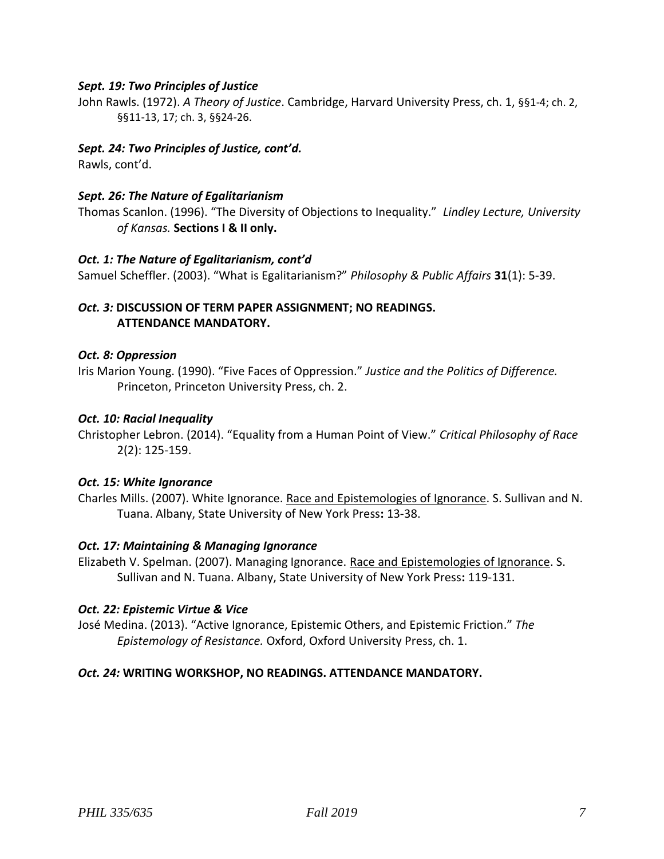## *Sept. 19: Two Principles of Justice*

John Rawls. (1972). *A Theory of Justice*. Cambridge, Harvard University Press, ch. 1, §§1-4; ch. 2, §§11-13, 17; ch. 3, §§24-26.

#### *Sept. 24: Two Principles of Justice, cont'd.*

Rawls, cont'd.

#### *Sept. 26: The Nature of Egalitarianism*

Thomas Scanlon. (1996). "The Diversity of Objections to Inequality." *Lindley Lecture, University of Kansas.* **Sections I & II only.**

#### *Oct. 1: The Nature of Egalitarianism, cont'd*

Samuel Scheffler. (2003). "What is Egalitarianism?" *Philosophy & Public Affairs* **31**(1): 5-39.

## *Oct. 3:* **DISCUSSION OF TERM PAPER ASSIGNMENT; NO READINGS. ATTENDANCE MANDATORY.**

#### *Oct. 8: Oppression*

Iris Marion Young. (1990). "Five Faces of Oppression." *Justice and the Politics of Difference.* Princeton, Princeton University Press, ch. 2.

#### *Oct. 10: Racial Inequality*

Christopher Lebron. (2014). "Equality from a Human Point of View." *Critical Philosophy of Race*  2(2): 125-159.

#### *Oct. 15: White Ignorance*

Charles Mills. (2007). White Ignorance. Race and Epistemologies of Ignorance. S. Sullivan and N. Tuana. Albany, State University of New York Press**:** 13-38.

#### *Oct. 17: Maintaining & Managing Ignorance*

Elizabeth V. Spelman. (2007). Managing Ignorance. Race and Epistemologies of Ignorance. S. Sullivan and N. Tuana. Albany, State University of New York Press**:** 119-131.

#### *Oct. 22: Epistemic Virtue & Vice*

José Medina. (2013). "Active Ignorance, Epistemic Others, and Epistemic Friction." *The Epistemology of Resistance.* Oxford, Oxford University Press, ch. 1.

#### *Oct. 24:* **WRITING WORKSHOP, NO READINGS. ATTENDANCE MANDATORY.**